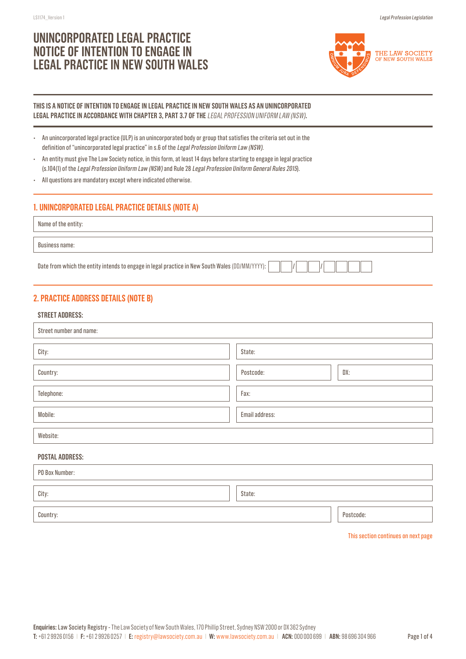# **UNINCORPORATED LEGAL PRACTICE NOTICE OF INTENTION TO ENGAGE IN LEGAL PRACTICE IN NEW SOUTH WALES**



### **THIS IS A NOTICE OF INTENTION TO ENGAGE IN LEGAL PRACTICE IN NEW SOUTH WALES AS AN UNINCORPORATED LEGAL PRACTICE IN ACCORDANCE WITH CHAPTER 3, PART 3.7 OF THE** LEGAL PROFESSION UNIFORM LAW (NSW)**.**

| An unincorporated legal practice (ULP) is an unincorporated body or group that satisfies the criteria set out in the |
|----------------------------------------------------------------------------------------------------------------------|
| definition of "unincorporated legal practice" in s.6 of the Legal Profession Uniform Law (NSW).                      |

- An entity must give The Law Society notice, in this form, at least 14 days before starting to engage in legal practice (s.104(1) of the Legal Profession Uniform Law (NSW) and Rule 28 Legal Profession Uniform General Rules 2015).
- All questions are mandatory except where indicated otherwise.

# **1. UNINCORPORATED LEGAL PRACTICE DETAILS (NOTE A)**

Name of the entity:

Business name:

Date from which the entity intends to engage in legal practice in New South Wales (DD/MM/YYYY):

# **2. PRACTICE ADDRESS DETAILS (NOTE B)**

### **STREET ADDRESS:**

| Street number and name: |                  |  |  |  |  |
|-------------------------|------------------|--|--|--|--|
| City:                   | State:           |  |  |  |  |
| Country:                | Postcode:<br>DX: |  |  |  |  |
| Telephone:              | Fax:             |  |  |  |  |
| Mobile:                 | Email address:   |  |  |  |  |
| Website:                |                  |  |  |  |  |
|                         |                  |  |  |  |  |

### **POSTAL ADDRESS:**

| PO Box Number:  |  |           |  |  |
|-----------------|--|-----------|--|--|
| City:<br>State: |  |           |  |  |
|                 |  |           |  |  |
| Country:        |  | Postcode: |  |  |

This section continues on next page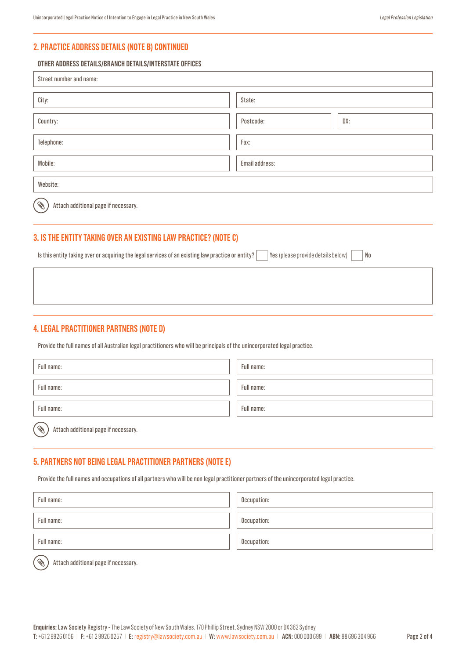## **2. PRACTICE ADDRESS DETAILS (NOTE B) CONTINUED**

#### **OTHER ADDRESS DETAILS/BRANCH DETAILS/INTERSTATE OFFICES**

| Street number and name:                        |                  |  |  |  |  |
|------------------------------------------------|------------------|--|--|--|--|
| City:                                          | State:           |  |  |  |  |
| Country:                                       | DX:<br>Postcode: |  |  |  |  |
| Telephone:                                     | Fax:             |  |  |  |  |
| Mobile:                                        | Email address:   |  |  |  |  |
| Website:                                       |                  |  |  |  |  |
| .<br>C<br>Attach additional page if necessary. |                  |  |  |  |  |

# **3. IS THE ENTITY TAKING OVER AN EXISTING LAW PRACTICE? (NOTE C)**

Is this entity taking over or acquiring the legal services of an existing law practice or entity?  $\forall$ es (please provide details below)  $\mid$  No

### **4. LEGAL PRACTITIONER PARTNERS (NOTE D)**

Provide the full names of all Australian legal practitioners who will be principals of the unincorporated legal practice.

| Full name: | Full name: |
|------------|------------|
| Full name: | Full name: |
| Full name: | Full name: |

Ç Attach additional page if necessary.

### **5. PARTNERS NOT BEING LEGAL PRACTITIONER PARTNERS (NOTE E)**

Provide the full names and occupations of all partners who will be non legal practitioner partners of the unincorporated legal practice.

| Full name: | Occupation: |
|------------|-------------|
| Full name: | Occupation: |
| Full name: | Occupation: |
| 一          |             |

Attach additional page if necessary.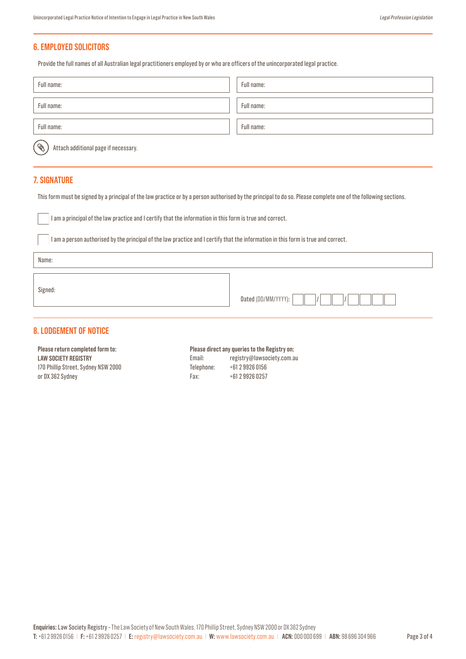### **6. EMPLOYED SOLICITORS**

Provide the full names of all Australian legal practitioners employed by or who are officers of the unincorporated legal practice.

| Full name:                                                        | Full name: |
|-------------------------------------------------------------------|------------|
| Full name:                                                        | Full name: |
|                                                                   |            |
| Full name:                                                        | Full name: |
| $\widehat{\mathscr{B}}$ ,<br>Attach additional page if necessary. |            |

### **7. SIGNATURE**

This form must be signed by a principal of the law practice or by a person authorised by the principal to do so. Please complete one of the following sections.

I am a principal of the law practice and I certify that the information in this form is true and correct.

I am a person authorised by the principal of the law practice and I certify that the information in this form is true and correct.

Name:

Signed:

| Dated<br> |  |  |  |  |  |  |  |  |
|-----------|--|--|--|--|--|--|--|--|
|-----------|--|--|--|--|--|--|--|--|

### **8. LODGEMENT OF NOTICE**

**Please return completed form to: LAW SOCIETY REGISTRY** 170 Phillip Street, Sydney NSW 2000 or DX 362 Sydney

**Please direct any queries to the Registry on:**  Email: registry@lawsociety.com.au Telephone: +61 2 9926 0156 Fax: +61 2 9926 0257